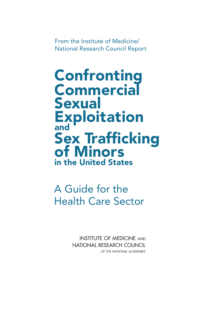From the Institute of Medicine/ National Research Council Report

Confronting Commercial Sexual Exploitation and **Sex Trafficking<br>of Minors** in the United States

A Guide for the Health Care Sector

> **INSTITUTE OF MEDICINE AND** NATIONAL RESEARCH COUNCIL OF THE NATIONAL ACADEMIES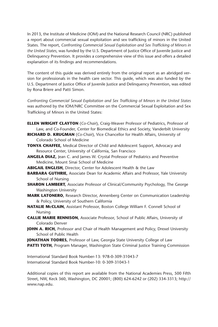In 2013, the Institute of Medicine (IOM) and the National Research Council (NRC) published a report about commercial sexual exploitation and sex trafficking of minors in the United States. The report, *Confronting Commercial Sexual Exploitation and Sex Trafficking of Minors in the United States*, was funded by the U.S. Department of Justice Office of Juvenile Justice and Delinquency Prevention. It provides a comprehensive view of this issue and offers a detailed explanation of its findings and recommendations.

The content of this guide was derived entirely from the original report as an abridged version for professionals in the health care sector. This guide, which was also funded by the U.S. Department of Justice Office of Juvenile Justice and Delinquency Prevention, was edited by Rona Briere and Patti Simon.

*Confronting Commercial Sexual Exploitation and Sex Trafficking of Minors in the United States* was authored by the IOM/NRC Committee on the Commercial Sexual Exploitation and Sex Trafficking of Minors in the United States:

**ELLEN WRIGHT CLAYTON** (*Co-Chair*), Craig-Weaver Professor of Pediatrics, Professor of Law, and Co-Founder, Center for Biomedical Ethics and Society, Vanderbilt University

- **RICHARD D. KRUGMAN** (*Co-Chair*), Vice Chancellor for Health Affairs, University of Colorado School of Medicine
- **TONYA CHAFFEE,** Medical Director of Child and Adolescent Support, Advocacy and Resource Center, University of California, San Francisco
- **ANGELA DIAZ,** Jean C. and James W. Crystal Professor of Pediatrics and Preventive Medicine, Mount Sinai School of Medicine
- **ABIGAIL ENGLISH,** Director, Center for Adolescent Health & the Law
- **BARBARA GUTHRIE,** Associate Dean for Academic Affairs and Professor, Yale University School of Nursing
- **SHARON LAMBERT**, Associate Professor of Clinical/Community Psychology, The George Washington University
- **MARK LATONERO,** Research Director, Annenberg Center on Communication Leadership & Policy, University of Southern California
- **NATALIE McCLAIN,** Assistant Professor, Boston College William F. Connell School of Nursing
- **CALLIE MARIE RENNISON,** Associate Professor, School of Public Affairs, University of Colorado Denver
- **JOHN A. RICH,** Professor and Chair of Health Management and Policy, Drexel University School of Public Health

**JONATHAN TODRES,** Professor of Law, Georgia State University College of Law **PATTI TOTH,** Program Manager, Washington State Criminal Justice Training Commission

International Standard Book Number-13: 978-0-309-31043-7 International Standard Book Number-10: 0-309-31043-1

Additional copies of this report are available from the National Academies Press, 500 Fifth Street, NW, Keck 360, Washington, DC 20001; (800) 624-6242 or (202) 334-3313; [http://](http://www.nap.edu) [www.nap.edu.](http://www.nap.edu)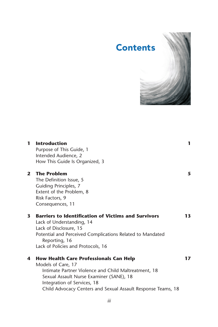

| 1.           | <b>Introduction</b><br>Purpose of This Guide, 1<br>Intended Audience, 2<br>How This Guide Is Organized, 3                                                                                                                                                              | 1  |
|--------------|------------------------------------------------------------------------------------------------------------------------------------------------------------------------------------------------------------------------------------------------------------------------|----|
| $\mathbf{2}$ | <b>The Problem</b><br>The Definition Issue, 5<br>Guiding Principles, 7<br>Extent of the Problem, 8<br>Risk Factors, 9<br>Consequences, 11                                                                                                                              | 5  |
| 3.           | <b>Barriers to Identification of Victims and Survivors</b><br>Lack of Understanding, 14<br>Lack of Disclosure, 15<br>Potential and Perceived Complications Related to Mandated<br>Reporting, 16<br>Lack of Policies and Protocols, 16                                  | 13 |
| 4            | <b>How Health Care Professionals Can Help</b><br>Models of Care, 17<br>Intimate Partner Violence and Child Maltreatment, 18<br>Sexual Assault Nurse Examiner (SANE), 18<br>Integration of Services, 18<br>Child Advocacy Centers and Sexual Assault Response Teams, 18 | 17 |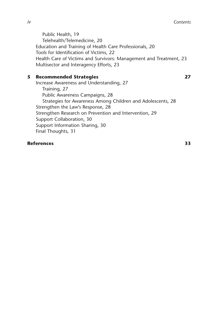Public Health, 19 Telehealth/Telemedicine, 20 Education and Training of Health Care Professionals, 20 Tools for Identification of Victims, 22 Health Care of Victims and Survivors: Management and Treatment, 23 Multisector and Interagency Efforts, 23

#### **5 Recommended Strategies 27**

Increase Awareness and Understanding, 27 Training, 27 Public Awareness Campaigns, 28 Strategies for Awareness Among Children and Adolescents, 28 Strengthen the Law's Response, 28 Strengthen Research on Prevention and Intervention, 29 Support Collaboration, 30 Support Information Sharing, 30 Final Thoughts, 31

#### **References 33**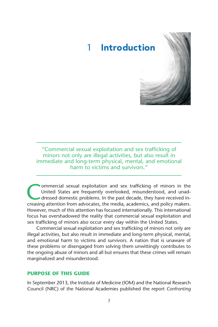## 1 Introduction

"Commercial sexual exploitation and sex trafficking of minors not only are illegal activities, but also result in immediate and long-term physical, mental, and emotional harm to victims and survivors."

Commercial sexual exploitation and sex trafficking of minors in the United States are frequently overlooked, misunderstood, and unaddressed domestic problems. In the past decade, they have received in-United States are frequently overlooked, misunderstood, and unadcreasing attention from advocates, the media, academics, and policy makers. However, much of this attention has focused internationally. This international focus has overshadowed the reality that commercial sexual exploitation and sex trafficking of minors also occur every day within the United States.

Commercial sexual exploitation and sex trafficking of minors not only are illegal activities, but also result in immediate and long-term physical, mental, and emotional harm to victims and survivors. A nation that is unaware of these problems or disengaged from solving them unwittingly contributes to the ongoing abuse of minors and all but ensures that these crimes will remain marginalized and misunderstood.

#### **Purpose of This Guide**

In September 2013, the Institute of Medicine (IOM) and the National Research Council (NRC) of the National Academies published the report *Confronting*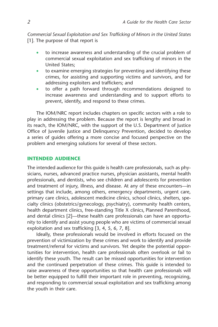*Commercial Sexual Exploitation and Sex Trafficking of Minors in the United States*  [1]*.* The purpose of that report is

- to increase awareness and understanding of the crucial problem of commercial sexual exploitation and sex trafficking of minors in the United States;
- to examine emerging strategies for preventing and identifying these crimes, for assisting and supporting victims and survivors, and for addressing exploiters and traffickers; and
- to offer a path forward through recommendations designed to increase awareness and understanding and to support efforts to prevent, identify, and respond to these crimes.

The IOM/NRC report includes chapters on specific sectors with a role to play in addressing the problem. Because the report is lengthy and broad in its reach, the IOM/NRC, with the support of the U.S. Department of Justice Office of Juvenile Justice and Delinquency Prevention, decided to develop a series of guides offering a more concise and focused perspective on the problem and emerging solutions for several of these sectors.

#### **Intended Audience**

The intended audience for this guide is health care professionals, such as physicians, nurses, advanced practice nurses, physician assistants, mental health professionals, and dentists, who see children and adolescents for prevention and treatment of injury, illness, and disease. At any of these encounters—in settings that include, among others, emergency departments, urgent care, primary care clinics, adolescent medicine clinics, school clinics, shelters, specialty clinics (obstetrics/gynecology, psychiatry), community health centers, health department clinics, free-standing Title X clinics, Planned Parenthood, and dental clinics [2]—these health care professionals can have an opportunity to identify and assist young people who are victims of commercial sexual exploitation and sex trafficking [3, 4, 5, 6, 7, 8].

Ideally, these professionals would be involved in efforts focused on the prevention of victimization by these crimes and work to identify and provide treatment/referral for victims and survivors. Yet despite the potential opportunities for intervention, health care professionals often overlook or fail to identify these youth. The result can be missed opportunities for intervention and the continued perpetration of these crimes. This guide is intended to raise awareness of these opportunities so that health care professionals will be better equipped to fulfill their important role in preventing, recognizing, and responding to commercial sexual exploitation and sex trafficking among the youth in their care.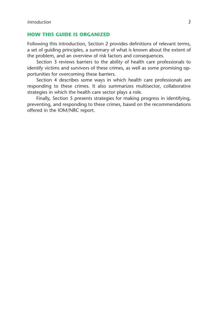#### **How This Guide Is Organized**

Following this introduction, Section 2 provides definitions of relevant terms, a set of guiding principles, a summary of what is known about the extent of the problem, and an overview of risk factors and consequences.

Section 3 reviews barriers to the ability of health care professionals to identify victims and survivors of these crimes, as well as some promising opportunities for overcoming these barriers.

Section 4 describes some ways in which health care professionals are responding to these crimes. It also summarizes multisector, collaborative strategies in which the health care sector plays a role.

Finally, Section 5 presents strategies for making progress in identifying, preventing, and responding to these crimes, based on the recommendations offered in the IOM/NRC report.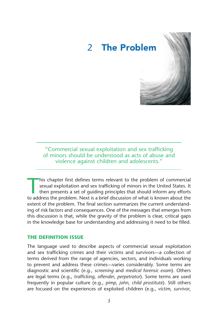## 2 The Problem

"Commercial sexual exploitation and sex trafficking of minors should be understood as acts of abuse and violence against children and adolescents."

This chapter first defines terms relevant to the problem of commercial sexual exploitation and sex trafficking of minors in the United States. It then presents a set of guiding principles that should inform any efforts to sexual exploitation and sex trafficking of minors in the United States. It to address the problem. Next is a brief discussion of what is known about the extent of the problem. The final section summarizes the current understanding of risk factors and consequences. One of the messages that emerges from this discussion is that, while the gravity of the problem is clear, critical gaps in the knowledge base for understanding and addressing it need to be filled.

#### **The Definition Issue**

The language used to describe aspects of commercial sexual exploitation and sex trafficking crimes and their victims and survivors—a collection of terms derived from the range of agencies, sectors, and individuals working to prevent and address these crimes—varies considerably. Some terms are diagnostic and scientific (e.g., *screening* and *medical forensic exam*). Others are legal terms (e.g., *trafficking*, *offender*, *perpetrator*). Some terms are used frequently in popular culture (e.g., *pimp*, *john*, *child prostitute*). Still others are focused on the experiences of exploited children (e.g., *victim*, *survivor*,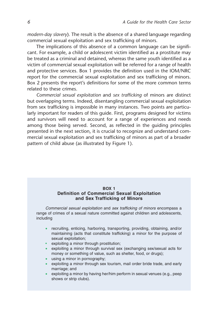*modern-day slavery*). The result is the absence of a shared language regarding commercial sexual exploitation and sex trafficking of minors.

The implications of this absence of a common language can be significant. For example, a child or adolescent victim identified as a prostitute may be treated as a criminal and detained, whereas the same youth identified as a victim of commercial sexual exploitation will be referred for a range of health and protective services. Box 1 provides the definition used in the IOM/NRC report for the commercial sexual exploitation and sex trafficking of minors. Box 2 presents the report's definitions for some of the more common terms related to these crimes.

*Commercial sexual exploitation* and *sex trafficking* of minors are distinct but overlapping terms. Indeed, disentangling commercial sexual exploitation from sex trafficking is impossible in many instances. Two points are particularly important for readers of this guide. First, programs designed for victims and survivors will need to account for a range of experiences and needs among those being served. Second, as reflected in the guiding principles presented in the next section, it is crucial to recognize and understand commercial sexual exploitation and sex trafficking of minors as part of a broader pattern of child abuse (as illustrated by Figure 1).

#### **BOX 1 Definition of Commercial Sexual Exploitation and Sex Trafficking of Minors**

*Commercial sexual exploitation* and *sex trafficking of minors* encompass a range of crimes of a sexual nature committed against children and adolescents, including

- recruiting, enticing, harboring, transporting, providing, obtaining, and/or maintaining (acts that constitute trafficking) a minor for the purpose of sexual exploitation;
- exploiting a minor through prostitution;
- exploiting a minor through survival sex (exchanging sex/sexual acts for money or something of value, such as shelter, food, or drugs);
- using a minor in pornography;
- exploiting a minor through sex tourism, mail order bride trade, and early marriage; and
- exploiting a minor by having her/him perform in sexual venues (e.g., peep shows or strip clubs).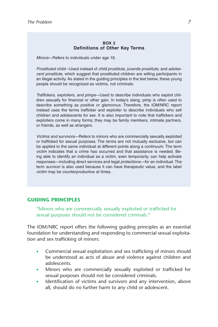#### **BOX 2 Definitions of Other Key Terms**

*Minors*—Refers to individuals under age 18.

*Prostituted child*—Used instead of *child prostitute*, *juvenile prostitute*, and *adolescent prostitute*, which suggest that prostituted children are willing participants in an illegal activity. As stated in the guiding principles in the text below, these young people should be recognized as victims, not criminals.

*Traffickers, exploiters, and pimps*—Used to describe individuals who exploit children sexually for financial or other gain. In today's slang, pimp is often used to describe something as positive or glamorous. Therefore, the IOM/NRC report instead uses the terms trafficker and exploiter to describe individuals who sell children and adolescents for sex. It is also important to note that traffickers and exploiters come in many forms; they may be family members, intimate partners, or friends, as well as strangers.

*Victims and survivors*—Refers to minors who are commercially sexually exploited or trafficked for sexual purposes. The terms are not mutually exclusive, but can be applied to the same individual at different points along a continuum. The term *victim* indicates that a crime has occurred and that assistance is needed. Being able to identify an individual as a victim, even temporarily, can help activate responses—including direct services and legal protections—for an individual. The term *survivor* is also used because it can have therapeutic value, and the label *victim* may be counterproductive at times.

#### **Guiding Principles**

"Minors who are commercially sexually exploited or trafficked for sexual purposes should not be considered criminals."

The IOM/NRC report offers the following guiding principles as an essential foundation for understanding and responding to commercial sexual exploitation and sex trafficking of minors:

- Commercial sexual exploitation and sex trafficking of minors should be understood as acts of abuse and violence against children and adolescents.
- Minors who are commercially sexually exploited or trafficked for sexual purposes should not be considered criminals.
- Identification of victims and survivors and any intervention, above all, should do no further harm to any child or adolescent.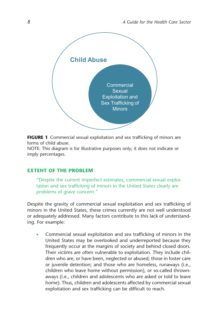

**FIGURE 1** Commercial sexual exploitation and sex trafficking of minors are forms of child abuse.

NOTE: This diagram is for illustrative purposes only; it does not indicate or Figure 1-1 and A-4imply percentages.

#### **Extent of the Problem**

"Despite the current imperfect estimates, commercial sexual exploitation and sex trafficking of minors in the United States clearly are problems of grave concern."

Despite the gravity of commercial sexual exploitation and sex trafficking of minors in the United States, these crimes currently are not well understood or adequately addressed. Many factors contribute to this lack of understanding. For example:

• Commercial sexual exploitation and sex trafficking of minors in the United States may be overlooked and underreported because they frequently occur at the margins of society and behind closed doors. Their victims are often vulnerable to exploitation. They include children who are, or have been, neglected or abused; those in foster care or juvenile detention; and those who are homeless, runaways (i.e., children who leave home without permission), or so-called thrownaways (i.e., children and adolescents who are asked or told to leave home). Thus, children and adolescents affected by commercial sexual exploitation and sex trafficking can be difficult to reach.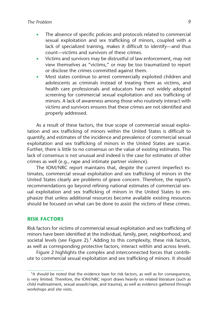- The absence of specific policies and protocols related to commercial sexual exploitation and sex trafficking of minors, coupled with a lack of specialized training, makes it difficult to identify—and thus count—victims and survivors of these crimes.
- Victims and survivors may be distrustful of law enforcement, may not view themselves as "victims," or may be too traumatized to report or disclose the crimes committed against them.
- Most states continue to arrest commercially exploited children and adolescents as criminals instead of treating them as victims, and health care professionals and educators have not widely adopted screening for commercial sexual exploitation and sex trafficking of minors. A lack of awareness among those who routinely interact with victims and survivors ensures that these crimes are not identified and properly addressed.

As a result of these factors, the true scope of commercial sexual exploitation and sex trafficking of minors within the United States is difficult to quantify, and estimates of the incidence and prevalence of commercial sexual exploitation and sex trafficking of minors in the United States are scarce. Further, there is little to no consensus on the value of existing estimates. This lack of consensus is not unusual and indeed is the case for estimates of other crimes as well (e.g., rape and intimate partner violence).

The IOM/NRC report maintains that, despite the current imperfect estimates, commercial sexual exploitation and sex trafficking of minors in the United States clearly are problems of grave concern. Therefore, the report's recommendations go beyond refining national estimates of commercial sexual exploitation and sex trafficking of minors in the United States to emphasize that unless additional resources become available existing resources should be focused on what can be done to assist the victims of these crimes.

#### **Risk Factors**

Risk factors for victims of commercial sexual exploitation and sex trafficking of minors have been identified at the individual, family, peer, neighborhood, and societal levels (see Figure 2).<sup>1</sup> Adding to this complexity, these risk factors, as well as corresponding protective factors, interact within and across levels.

Figure 2 highlights the complex and interconnected forces that contribute to commercial sexual exploitation and sex trafficking of minors. It should

 $1$ It should be noted that the evidence base for risk factors, as well as for consequences, is very limited. Therefore, the IOM/NRC report draws heavily on related literature (such as child maltreatment, sexual assault/rape, and trauma), as well as evidence gathered through workshops and site visits.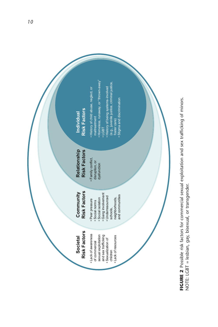

FIGURE 2 Possible risk factors for commercial sexual exploitation and sex trafficking of minors. **FIGURE 2** Possible risk factors for commercial sexual exploitation and sex trafficking of minors. NOTE: LGBT = lesbian, gay, bisexual, or transgender. NOTE: LGBT = lesbian, gay, bisexual, or transgender.

# **Risk Factors**

· Homeless, runaway, or "thrown-away" • Homeless, runaway, or "thrown-away" · History of child abuse, neglect, or • History of child abuse, neglect, or

(e.g., juvenile justice, criminal justice, • History of being systems-involved History of being systems-involved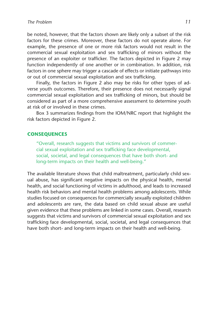be noted, however, that the factors shown are likely only a subset of the risk factors for these crimes. Moreover, these factors do not operate alone. For example, the presence of one or more risk factors would not result in the commercial sexual exploitation and sex trafficking of minors without the presence of an exploiter or trafficker. The factors depicted in Figure 2 may function independently of one another or in combination. In addition, risk factors in one sphere may trigger a cascade of effects or initiate pathways into or out of commercial sexual exploitation and sex trafficking.

Finally, the factors in Figure 2 also may be risks for other types of adverse youth outcomes. Therefore, their presence does not necessarily signal commercial sexual exploitation and sex trafficking of minors, but should be considered as part of a more comprehensive assessment to determine youth at risk of or involved in these crimes.

Box 3 summarizes findings from the IOM/NRC report that highlight the risk factors depicted in Figure 2.

#### **Consequences**

"Overall, research suggests that victims and survivors of commercial sexual exploitation and sex trafficking face developmental, social, societal, and legal consequences that have both short- and long-term impacts on their health and well-being."

The available literature shows that child maltreatment, particularly child sexual abuse, has significant negative impacts on the physical health, mental health, and social functioning of victims in adulthood, and leads to increased health risk behaviors and mental health problems among adolescents. While studies focused on consequences for commercially sexually exploited children and adolescents are rare, the data based on child sexual abuse are useful given evidence that these problems are linked in some cases. Overall, research suggests that victims and survivors of commercial sexual exploitation and sex trafficking face developmental, social, societal, and legal consequences that have both short- and long-term impacts on their health and well-being.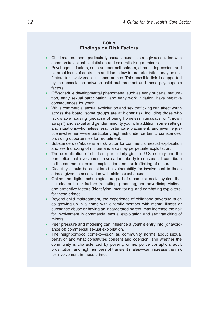#### **BOX 3 Findings on Risk Factors**

- Child maltreatment, particularly sexual abuse, is strongly associated with commercial sexual exploitation and sex trafficking of minors.
- Psychogenic factors, such as poor self-esteem, chronic depression, and external locus of control, in addition to low future orientation, may be risk factors for involvement in these crimes. This possible link is supported by the association between child maltreatment and these psychogenic factors.
- Off-schedule developmental phenomena, such as early pubertal maturation, early sexual participation, and early work initiation, have negative consequences for youth.
- While commercial sexual exploitation and sex trafficking can affect youth across the board, some groups are at higher risk, including those who lack stable housing (because of being homeless, runaways, or "thrown aways") and sexual and gender minority youth. In addition, some settings and situations—homelessness, foster care placement, and juvenile justice involvement—are particularly high risk under certain circumstances, providing opportunities for recruitment.
- Substance use/abuse is a risk factor for commercial sexual exploitation and sex trafficking of minors and also may perpetuate exploitation.
- The sexualization of children, particularly girls, in U.S. society and the perception that involvement in sex after puberty is consensual, contribute to the commercial sexual exploitation and sex trafficking of minors.
- Disability should be considered a vulnerability for involvement in these crimes given its association with child sexual abuse.
- Online and digital technologies are part of a complex social system that includes both risk factors (recruiting, grooming, and advertising victims) and protective factors (identifying, monitoring, and combating exploiters) for these crimes.
- Beyond child maltreatment, the experience of childhood adversity, such as growing up in a home with a family member with mental illness or substance abuse or having an incarcerated parent, may increase the risk for involvement in commercial sexual exploitation and sex trafficking of minors.
- Peer pressure and modeling can influence a youth's entry into (or avoidance of) commercial sexual exploitation.
- The neighborhood context—such as community norms about sexual behavior and what constitutes consent and coercion, and whether the community is characterized by poverty, crime, police corruption, adult prostitution, and high numbers of transient males—can increase the risk for involvement in these crimes.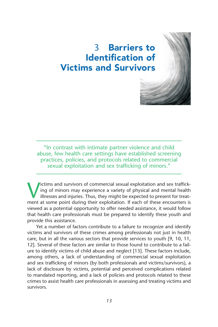## 3 Barriers to Identification of Victims and Survivors

"In contrast with intimate partner violence and child abuse, few health care settings have established screening practices, policies, and protocols related to commercial sexual exploitation and sex trafficking of minors."

Victims and survivors of commercial sexual exploitation and sex traffick-<br>ing of minors may experience a variety of physical and mental health<br>illnesses and injuries. Thus, they might be expected to present for treat-<br>ment ing of minors may experience a variety of physical and mental health illnesses and injuries. Thus, they might be expected to present for treatment at some point during their exploitation. If each of these encounters is viewed as a potential opportunity to offer needed assistance, it would follow that health care professionals must be prepared to identify these youth and provide this assistance.

Yet a number of factors contribute to a failure to recognize and identify victims and survivors of these crimes among professionals not just in health care, but in all the various sectors that provide services to youth [9, 10, 11, 12]. Several of these factors are similar to those found to contribute to a failure to identify victims of child abuse and neglect [13]. These factors include, among others, a lack of understanding of commercial sexual exploitation and sex trafficking of minors (by both professionals and victims/survivors), a lack of disclosure by victims, potential and perceived complications related to mandated reporting, and a lack of policies and protocols related to these crimes to assist health care professionals in assessing and treating victims and survivors.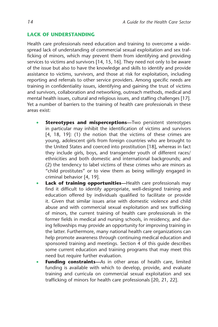#### **Lack of Understanding**

Health care professionals need education and training to overcome a widespread lack of understanding of commercial sexual exploitation and sex trafficking of minors, which may prevent them from identifying and providing services to victims and survivors [14, 15, 16]. They need not only to be aware of the issue but also to have the knowledge and skills to identify and provide assistance to victims, survivors, and those at risk for exploitation, including reporting and referrals to other service providers. Among specific needs are training in confidentiality issues, identifying and gaining the trust of victims and survivors, collaboration and networking, outreach methods, medical and mental health issues, cultural and religious issues, and staffing challenges [17]. Yet a number of barriers to the training of health care professionals in these areas exist:

- **Stereotypes and misperceptions**—Two persistent stereotypes in particular may inhibit the identification of victims and survivors [4, 18, 19]: (1) the notion that the victims of these crimes are young, adolescent girls from foreign countries who are brought to the United States and coerced into prostitution [18], whereas in fact they include girls, boys, and transgender youth of different races/ ethnicities and both domestic and international backgrounds; and (2) the tendency to label victims of these crimes who are minors as "child prostitutes" or to view them as being willingly engaged in criminal behavior [4, 19].
- **Lack of training opportunities**-Health care professionals may find it difficult to identify appropriate, well-designed training and education offered by individuals qualified to facilitate or provide it. Given that similar issues arise with domestic violence and child abuse and with commercial sexual exploitation and sex trafficking of minors, the current training of health care professionals in the former fields in medical and nursing schools, in residency, and during fellowships may provide an opportunity for improving training in the latter. Furthermore, many national health care organizations can help promote awareness through continuing medical education and sponsored training and meetings. Section 4 of this guide describes some current education and training programs that may meet this need but require further evaluation.
- **Funding constraints—**As in other areas of health care, limited funding is available with which to develop, provide, and evaluate training and curricula on commercial sexual exploitation and sex trafficking of minors for health care professionals [20, 21, 22].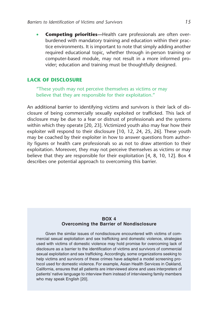• **Competing priorities—**Health care professionals are often overburdened with mandatory training and education within their practice environments. It is important to note that simply adding another required educational topic, whether through in-person training or computer-based module, may not result in a more informed provider; education and training must be thoughtfully designed.

#### **Lack of Disclosure**

"These youth may not perceive themselves as victims or may believe that they are responsible for their exploitation."

An additional barrier to identifying victims and survivors is their lack of disclosure of being commercially sexually exploited or trafficked. This lack of disclosure may be due to a fear or distrust of professionals and the systems within which they operate [20, 23]. Victimized youth also may fear how their exploiter will respond to their disclosure [10, 12, 24, 25, 26]. These youth may be coached by their exploiter in how to answer questions from authority figures or health care professionals so as not to draw attention to their exploitation. Moreover, they may not perceive themselves as victims or may believe that they are responsible for their exploitation [4, 8, 10, 12]. Box 4 describes one potential approach to overcoming this barrier.

#### **BOX 4 Overcoming the Barrier of Nondisclosure**

Given the similar issues of nondisclosure encountered with victims of commercial sexual exploitation and sex trafficking and domestic violence, strategies used with victims of domestic violence may hold promise for overcoming lack of disclosure as a barrier to the identification of victims and survivors of commercial sexual exploitation and sex trafficking. Accordingly, some organizations seeking to help victims and survivors of these crimes have adapted a model screening protocol used for domestic violence. For example, Asian Health Services in Oakland, California, ensures that all patients are interviewed alone and uses interpreters of patients' native language to interview them instead of interviewing family members who may speak English [20].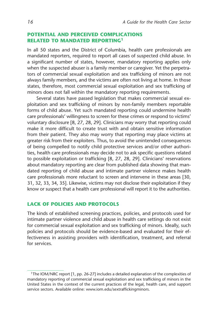#### **Potential and Perceived Complications Related to Mandated Reporting1**

In all 50 states and the District of Columbia, health care professionals are mandated reporters, required to report all cases of suspected child abuse. In a significant number of states, however, mandatory reporting applies only when the suspected abuser is a family member or caregiver. Yet the perpetrators of commercial sexual exploitation and sex trafficking of minors are not always family members, and the victims are often not living at home. In those states, therefore, most commercial sexual exploitation and sex trafficking of minors does not fall within the mandatory reporting requirements.

Several states have passed legislation that makes commercial sexual exploitation and sex trafficking of minors by non-family members reportable forms of child abuse. Yet such mandated reporting could undermine health care professionals' willingness to screen for these crimes or respond to victims' voluntary disclosure [8, 27, 28, 29]. Clinicians may worry that reporting could make it more difficult to create trust with and obtain sensitive information from their patient. They also may worry that reporting may place victims at greater risk from their exploiters. Thus, to avoid the unintended consequences of being compelled to notify child protective services and/or other authorities, health care professionals may decide not to ask specific questions related to possible exploitation or trafficking [8, 27, 28, 29]. Clinicians' reservations about mandatory reporting are clear from published data showing that mandated reporting of child abuse and intimate partner violence makes health care professionals more reluctant to screen and intervene in these areas [30, 31, 32, 33, 34, 35]. Likewise, victims may not disclose their exploitation if they know or suspect that a health care professional will report it to the authorities.

#### **Lack of Policies and Protocols**

The kinds of established screening practices, policies, and protocols used for intimate partner violence and child abuse in health care settings do not exist for commercial sexual exploitation and sex trafficking of minors. Ideally, such policies and protocols should be evidence-based and evaluated for their effectiveness in assisting providers with identification, treatment, and referral for services.

<sup>&</sup>lt;sup>1</sup>The IOM/NRC report [1, pp. 26-27] includes a detailed explanation of the complexities of mandatory reporting of commercial sexual exploitation and sex trafficking of minors in the United States in the context of the current practices of the legal, health care, and support service sectors. Available online: www.iom.edu/sextraffickingminors.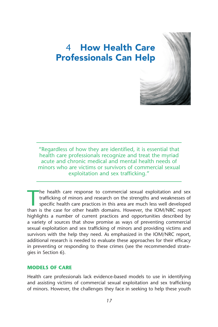## 4 How Health Care Professionals Can Help

"Regardless of how they are identified, it is essential that health care professionals recognize and treat the myriad acute and chronic medical and mental health needs of minors who are victims or survivors of commercial sexual exploitation and sex trafficking."

The health care response to commercial sexual exploitation and sex trafficking of minors and research on the strengths and weaknesses of specific health care practices in this area are much less well developed than is the trafficking of minors and research on the strengths and weaknesses of than is the case for other health domains. However, the IOM/NRC report highlights a number of current practices and opportunities described by a variety of sources that show promise as ways of preventing commercial sexual exploitation and sex trafficking of minors and providing victims and survivors with the help they need. As emphasized in the IOM/NRC report, additional research is needed to evaluate these approaches for their efficacy in preventing or responding to these crimes (see the recommended strategies in Section 6).

#### **Models of Care**

Health care professionals lack evidence-based models to use in identifying and assisting victims of commercial sexual exploitation and sex trafficking of minors. However, the challenges they face in seeking to help these youth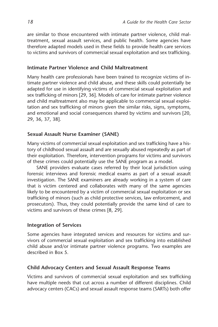are similar to those encountered with intimate partner violence, child maltreatment, sexual assault services, and public health. Some agencies have therefore adapted models used in these fields to provide health care services to victims and survivors of commercial sexual exploitation and sex trafficking.

#### **Intimate Partner Violence and Child Maltreatment**

Many health care professionals have been trained to recognize victims of intimate partner violence and child abuse, and these skills could potentially be adapted for use in identifying victims of commercial sexual exploitation and sex trafficking of minors [29, 36]. Models of care for intimate partner violence and child maltreatment also may be applicable to commercial sexual exploitation and sex trafficking of minors given the similar risks, signs, symptoms, and emotional and social consequences shared by victims and survivors [20, 29, 36, 37, 38].

#### **Sexual Assault Nurse Examiner (SANE)**

Many victims of commercial sexual exploitation and sex trafficking have a history of childhood sexual assault and are sexually abused repeatedly as part of their exploitation. Therefore, intervention programs for victims and survivors of these crimes could potentially use the SANE program as a model.

SANE providers evaluate cases referred by their local jurisdiction using forensic interviews and forensic medical exams as part of a sexual assault investigation. The SANE examiners are already working in a system of care that is victim centered and collaborates with many of the same agencies likely to be encountered by a victim of commercial sexual exploitation or sex trafficking of minors (such as child protective services, law enforcement, and prosecutors). Thus, they could potentially provide the same kind of care to victims and survivors of these crimes [8, 29].

#### **Integration of Services**

Some agencies have integrated services and resources for victims and survivors of commercial sexual exploitation and sex trafficking into established child abuse and/or intimate partner violence programs. Two examples are described in Box 5.

#### **Child Advocacy Centers and Sexual Assault Response Teams**

Victims and survivors of commercial sexual exploitation and sex trafficking have multiple needs that cut across a number of different disciplines. Child advocacy centers (CACs) and sexual assault response teams (SARTs) both offer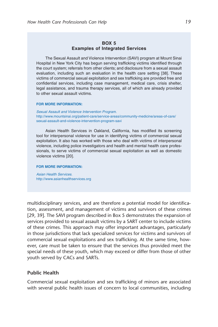#### **BOX 5 Examples of Integrated Services**

The Sexual Assault and Violence Intervention (SAVI) program at Mount Sinai Hospital in New York City has begun serving trafficking victims identified through the court system; referrals from other clients; and disclosure from a sexual assault evaluation, including such an evaluation in the health care setting [38]. These victims of commercial sexual exploitation and sex trafficking are provided free and confidential services, including case management, medical care, crisis shelter, legal assistance, and trauma therapy services, all of which are already provided to other sexual assault victims.

#### **for more information:**

*Sexual Assault and Violence Intervention Program.* [http://www.mountsinai.org/patient-care/service-areas/community-medicine/areas-of-care/](http://www.mountsinai.org/patient-care/service-areas/community-medicine/areas-of-care/sexual-assault-and-violence-intervention-program-savi) [sexual-assault-and-violence-intervention-program-savi](http://www.mountsinai.org/patient-care/service-areas/community-medicine/areas-of-care/sexual-assault-and-violence-intervention-program-savi)

Asian Health Services in Oakland, California, has modified its screening tool for interpersonal violence for use in identifying victims of commercial sexual exploitation. It also has worked with those who deal with victims of interpersonal violence, including police investigators and health and mental health care professionals, to serve victims of commercial sexual exploitation as well as domestic violence victims [20].

#### **for more information:**

*Asian Health Services.* <http://www.asianhealthservices.org>

multidisciplinary services, and are therefore a potential model for identification, assessment, and management of victims and survivors of these crimes [29, 39]. The SAVI program described in Box 5 demonstrates the expansion of services provided to sexual assault victims by a SART center to include victims of these crimes. This approach may offer important advantages, particularly in those jurisdictions that lack specialized services for victims and survivors of commercial sexual exploitations and sex trafficking. At the same time, however, care must be taken to ensure that the services thus provided meet the special needs of these youth, which may exceed or differ from those of other youth served by CACs and SARTs.

#### **Public Health**

Commercial sexual exploitation and sex trafficking of minors are associated with several public health issues of concern to local communities, including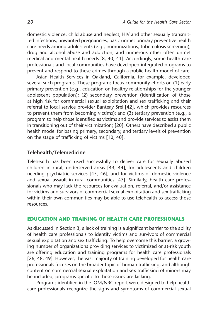domestic violence, child abuse and neglect, HIV and other sexually transmitted infections, unwanted pregnancies, basic unmet primary preventive health care needs among adolescents (e.g., immunizations, tuberculosis screening), drug and alcohol abuse and addiction, and numerous other often unmet medical and mental health needs [8, 40, 41]. Accordingly, some health care professionals and local communities have developed integrated programs to prevent and respond to these crimes through a public health model of care.

Asian Health Services in Oakland, California, for example, developed several such programs. These programs focus community efforts on (1) early primary prevention (e.g., education on healthy relationships for the younger adolescent population); (2) secondary prevention (identification of those at high risk for commercial sexual exploitation and sex trafficking and their referral to local service provider Banteay Srei [42], which provides resources to prevent them from becoming victims); and (3) tertiary prevention (e.g., a program to help those identified as victims and provide services to assist them in transitioning out of their victimization) [20]. Others have described a public health model for basing primary, secondary, and tertiary levels of prevention on the stage of trafficking of victims [10, 40].

#### **Telehealth/Telemedicine**

Telehealth has been used successfully to deliver care for sexually abused children in rural, underserved areas [43, 44], for adolescents and children needing psychiatric services [45, 46], and for victims of domestic violence and sexual assault in rural communities [47]. Similarly, health care professionals who may lack the resources for evaluation, referral, and/or assistance for victims and survivors of commercial sexual exploitation and sex trafficking within their own communities may be able to use telehealth to access those resources.

#### **Education and Training of Health Care Professionals**

As discussed in Section 3, a lack of training is a significant barrier to the ability of health care professionals to identify victims and survivors of commercial sexual exploitation and sex trafficking. To help overcome this barrier, a growing number of organizations providing services to victimized or at-risk youth are offering education and training programs for health care professionals [26, 48, 49]. However, the vast majority of training developed for health care professionals focuses on the broader topic of human trafficking, and although content on commercial sexual exploitation and sex trafficking of minors may be included, programs specific to these issues are lacking.

Programs identified in the IOM/NRC report were designed to help health care professionals recognize the signs and symptoms of commercial sexual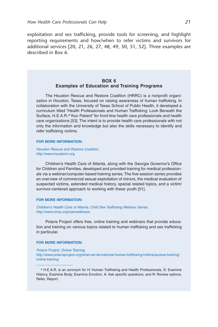exploitation and sex trafficking, provide tools for screening, and highlight reporting requirements and how/when to refer victims and survivors for additional services [20, 21, 26, 27, 48, 49, 50, 51, 52]. Three examples are described in Box 6.

#### **BOX 6 Examples of Education and Training Programs**

The Houston Rescue and Restore Coalition (HRRC) is a nonprofit organization in Houston, Texas, focused on raising awareness of human trafficking. In collaboration with the University of Texas School of Public Health, it developed a curriculum titled "Health Professionals and Human Trafficking: Look Beneath the Surface, H.E.A.R.*a* Your Patient" for front-line health care professionals and health care organizations [53]. The intent is to provide health care professionals with not only the information and knowledge but also the skills necessary to identify and refer trafficking victims.

#### **for more information:**

*Houston Rescue and Restore Coalition.*  <http://www.houstonrr.org>

Children's Health Care of Atlanta, along with the Georgia Governor's Office for Children and Families, developed and provided training for medical professionals via a webinar/computer-based training series. The five-session series provides an overview of commercial sexual exploitation of minors, the medical evaluation of suspected victims, extended medical history, special related topics, and a victim/ survivor-centered approach to working with these youth [51].

#### **for more information:**

*Children's Health Care of Atlanta. Child Sex Trafficking Webinar Series.* <http://www.choa.org/csecwebinars>

Polaris Project offers free, online training and webinars that provide education and training on various topics related to human trafficking and sex trafficking in particular.

#### **for more information:**

*Polaris Project. Online Training.* [http://www.polarisproject.org/what-we-do/national-human-trafficking-hotline/access-training/](http://www.polarisproject.org/what-we-do/national-human-trafficking-hotline/access-training/online-training) [online-training](http://www.polarisproject.org/what-we-do/national-human-trafficking-hotline/access-training/online-training)

*<sup>a</sup>* H.E.A.R. is an acronym for H: Human Trafficking and Health Professionals, E: Examine History, Examine Body, Examine Emotion, A: Ask specific questions, and R: Review options, Refer, Report.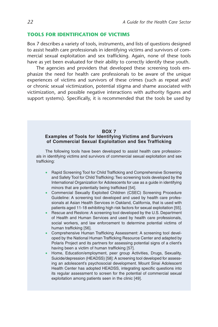#### **Tools for Identification of Victims**

Box 7 describes a variety of tools, instruments, and lists of questions designed to assist health care professionals in identifying victims and survivors of commercial sexual exploitation and sex trafficking. Again, none of these tools have as yet been evaluated for their ability to correctly identify these youth.

The agencies and providers that developed these screening tools emphasize the need for health care professionals to be aware of the unique experiences of victims and survivors of these crimes (such as repeat and/ or chronic sexual victimization, potential stigma and shame associated with victimization, and possible negative interactions with authority figures and support systems). Specifically, it is recommended that the tools be used by

#### **BOX 7 Examples of Tools for Identifying Victims and Survivors of Commercial Sexual Exploitation and Sex Trafficking**

The following tools have been developed to assist health care professionals in identifying victims and survivors of commercial sexual exploitation and sex trafficking:

- Rapid Screening Tool for Child Trafficking and Comprehensive Screening and Safety Tool for Child Trafficking: Two screening tools developed by the International Organization for Adolescents for use as a guide in identifying minors that are potentially being trafficked [54].
- Commercial Sexually Exploited Children (CSEC) Screening Procedure Guideline: A screening tool developed and used by health care professionals at Asian Health Services in Oakland, California, that is used with patients aged 11-18 exhibiting high risk factors for sexual exploitation [55].
- Rescue and Restore: A screening tool developed by the U.S. Department of Health and Human Services and used by health care professionals, social workers, and law enforcement to determine potential victims of human trafficking [56].
- Comprehensive Human Trafficking Assessment: A screening tool developed by the National Human Trafficking Resource Center and adapted by Polaris Project and its partners for assessing potential signs of a client's having been a victim of human trafficking [57].
- Home, Education/employment, peer group Activities, Drugs, Sexuality, Suicide/depression (HEADSS) [58]: A screening tool developed for assessing an adolescent's psychosocial development. Mount Sinai Adolescent Health Center has adopted HEADSS, integrating specific questions into its regular assessment to screen for the potential of commercial sexual exploitation among patients seen in the clinic [49].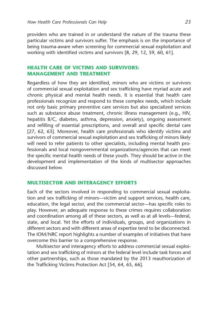providers who are trained in or understand the nature of the trauma these particular victims and survivors suffer. The emphasis is on the importance of being trauma-aware when screening for commercial sexual exploitation and working with identified victims and survivors [8, 29, 12, 59, 60, 61].

#### **Health Care of Victims and survivors: Management and Treatment**

Regardless of how they are identified, minors who are victims or survivors of commercial sexual exploitation and sex trafficking have myriad acute and chronic physical and mental health needs. It is essential that health care professionals recognize and respond to these complex needs, which include not only basic primary preventive care services but also specialized services such as substance abuse treatment, chronic illness management (e.g., HIV, hepatitis B/C, diabetes, asthma, depression, anxiety), ongoing assessment and refilling of essential prescriptions, and overall and specific dental care [27, 62, 63]. Moreover, health care professionals who identify victims and survivors of commercial sexual exploitation and sex trafficking of minors likely will need to refer patients to other specialists, including mental health professionals and local nongovernmental organizations/agencies that can meet the specific mental health needs of these youth. They should be active in the development and implementation of the kinds of multisector approaches discussed below.

#### **Multisector and Interagency Efforts**

Each of the sectors involved in responding to commercial sexual exploitation and sex trafficking of minors—victim and support services, health care, education, the legal sector, and the commercial sector—has specific roles to play. However, an adequate response to these crimes requires collaboration and coordination among all of these sectors, as well as at all levels—federal, state, and local. Yet the efforts of individuals, groups, and organizations in different sectors and with different areas of expertise tend to be disconnected. The IOM/NRC report highlights a number of examples of initiatives that have overcome this barrier to a comprehensive response.

Multisector and interagency efforts to address commercial sexual exploitation and sex trafficking of minors at the federal level include task forces and other partnerships, such as those mandated by the 2013 reauthorization of the Trafficking Victims Protection Act [54, 64, 65, 66].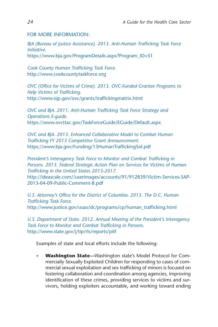For more information:

*BJA (Bureau of Justice Assistance). 2013. Anti-Human Trafficking Task Force Initiative.* 

[https://www.bja.gov/ProgramDetails.aspx?Program\\_ID=51](https://www.bja.gov/ProgramDetails.aspx?Program_ID=51)

*Cook County Human Trafficking Task Force.* <http://www.cookcountytaskforce.org>

*OVC (Office for Victims of Crime). 2013. OVC-Funded Grantee Programs to Help Victims of Trafficking.*  <http://www.ojp.gov/ovc/grants/traffickingmatrix.html>

*OVC and BJA. 2011. Anti-Human Trafficking Task Force Strategy and Operations E-guide.*  <https://www.ovcttac.gov/TaskForceGuide/EGuide/Default.aspx>

*OVC and BJA. 2013. Enhanced Collaborative Model to Combat Human Trafficking FY 2013 Competitive Grant Announcement.*  <https://www.bja.gov/Funding/13HumanTraffickingSol.pdf>

*President's Interagency Task Force to Monitor and Combat Trafficking in Persons. 2013. Federal Strategic Action Plan on Services for Victims of Human Trafficking in the United States 2013-2017.*  [http://ideascale.com//userimages/accounts/91/912839/Victim-Services-SAP-](http://ideascale.com//userimages/accounts/91/912839/Victim-Services-SAP-2013-04-09-Public-Comment-B.pdf)[2013-04-09-Public-Comment-B.pdf](http://ideascale.com//userimages/accounts/91/912839/Victim-Services-SAP-2013-04-09-Public-Comment-B.pdf)

U.S. Attorney's Office for the District of Columbia. 2013. The D.C. Human *Trafficking Task Force.*  [http://www.justice.gov/usao/dc/programs/cp/human\\_trafficking.html](http://www.justice.gov/usao/dc/programs/cp/human_trafficking.html)

*U.S. Department of State. 2012. Annual Meeting of the President's Interagency Task Force to Monitor and Combat Trafficking in Persons.*  <http://www.state.gov/j/tip/rls/reports/pitf>

Examples of state and local efforts include the following:

• **Washington State—**Washington state's Model Protocol for Commercially Sexually Exploited Children for responding to cases of commercial sexual exploitation and sex trafficking of minors is focused on fostering collaboration and coordination among agencies, improving identification of these crimes, providing services to victims and survivors, holding exploiters accountable, and working toward ending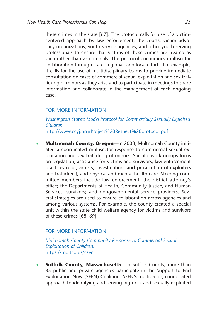these crimes in the state [67]. The protocol calls for use of a victimcentered approach by law enforcement, the courts, victim advocacy organizations, youth service agencies, and other youth-serving professionals to ensure that victims of these crimes are treated as such rather than as criminals. The protocol encourages multisector collaboration through state, regional, and local efforts. For example, it calls for the use of multidisciplinary teams to provide immediate consultation on cases of commercial sexual exploitation and sex trafficking of minors as they arise and to participate in meetings to share information and collaborate in the management of each ongoing case.

#### For more information:

*Washington State's Model Protocol for Commercially Sexually Exploited Children.*  <http://www.ccyj.org/Project%20Respect%20protocol.pdf>

• **Multnomah County, Oregon—**In 2008, Multnomah County initiated a coordinated multisector response to commercial sexual exploitation and sex trafficking of minors. Specific work groups focus on legislation, assistance for victims and survivors, law enforcement practices (e.g., arrests, investigation, and prosecution of exploiters and traffickers), and physical and mental health care. Steering committee members include law enforcement; the district attorney's office; the Departments of Health, Community Justice, and Human Services; survivors; and nongovernmental service providers. Several strategies are used to ensure collaboration across agencies and among various systems. For example, the county created a special unit within the state child welfare agency for victims and survivors of these crimes [68, 69].

#### For more information:

*Multnomah County Community Response to Commercial Sexual Exploitation of Children.* <https://multco.us/csec>

**Suffolk County, Massachusetts--**In Suffolk County, more than 35 public and private agencies participate in the Support to End Exploitation Now (SEEN) Coalition. SEEN's multisector, coordinated approach to identifying and serving high-risk and sexually exploited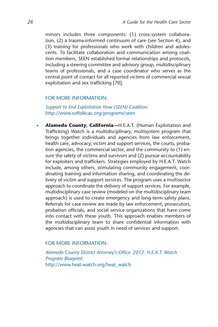minors includes three components: (1) cross-system collaboration, (2) a trauma-informed continuum of care (see Section 4), and (3) training for professionals who work with children and adolescents. To facilitate collaboration and communication among coalition members, SEEN established formal relationships and protocols, including a steering committee and advisory group, multidisciplinary teams of professionals, and a case coordinator who serves as the central point of contact for all reported victims of commercial sexual exploitation and sex trafficking [70].

#### For more information:

*Support to End Exploitation Now (SEEN) Coalition.*  <http://www.suffolkcac.org/programs/seen>

• **Alameda County, California—**H.E.A.T. (Human Exploitation and Trafficking) Watch is a multidisciplinary, multisystem program that brings together individuals and agencies from law enforcement, health care, advocacy, victim and support services, the courts, probation agencies, the commercial sector, and the community to (1) ensure the safety of victims and survivors and (2) pursue accountability for exploiters and traffickers. Strategies employed by H.E.A.T. Watch include, among others, stimulating community engagement, coordinating training and information sharing, and coordinating the delivery of victim and support services. The program uses a multisector approach to coordinate the delivery of support services. For example, multidisciplinary case review (modeled on the multidisciplinary team approach) is used to create emergency and long-term safety plans. Referrals for case review are made by law enforcement, prosecutors, probation officials, and social service organizations that have come into contact with these youth. This approach enables members of the multidisciplinary team to share confidential information with agencies that can assist youth in need of services and support.

#### For more information:

*Alameda County District Attorney's Office. 2012. H.E.A.T. Watch Program Blueprint.*  [http://www.heat-watch.org/heat\\_watch](http://www.heat-watch.org/heat_watch)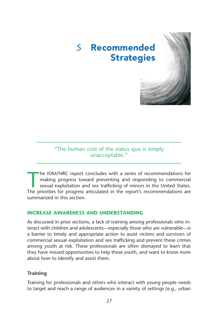## 5 Recommended **Strategies**

### "The human cost of the status quo is simply unacceptable."

he IOM/NRC report concludes with a series of recommendations for making progress toward preventing and responding to commercial sexual exploitation and sex trafficking of minors in the United States. The priorities for progress articulated in the report's recommendations are summarized in this section.

#### **Increase Awareness and Understanding**

As discussed in prior sections, a lack of training among professionals who interact with children and adolescents—especially those who are vulnerable—is a barrier to timely and appropriate action to assist victims and survivors of commercial sexual exploitation and sex trafficking and prevent these crimes among youth at risk. These professionals are often dismayed to learn that they have missed opportunities to help these youth, and want to know more about how to identify and assist them.

#### **Training**

Training for professionals and others who interact with young people needs to target and reach a range of audiences in a variety of settings (e.g., urban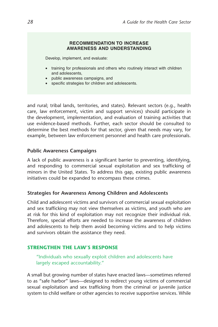#### **Recommendation to Increase Awareness and Understanding**

Develop, implement, and evaluate:

- training for professionals and others who routinely interact with children and adolescents,
- • public awareness campaigns, and
- • specific strategies for children and adolescents.

and rural; tribal lands, territories, and states). Relevant sectors (e.g., health care, law enforcement, victim and support services) should participate in the development, implementation, and evaluation of training activities that use evidence-based methods. Further, each sector should be consulted to determine the best methods for that sector, given that needs may vary, for example, between law enforcement personnel and health care professionals.

#### **Public Awareness Campaigns**

A lack of public awareness is a significant barrier to preventing, identifying, and responding to commercial sexual exploitation and sex trafficking of minors in the United States. To address this gap, existing public awareness initiatives could be expanded to encompass these crimes.

#### **Strategies for Awareness Among Children and Adolescents**

Child and adolescent victims and survivors of commercial sexual exploitation and sex trafficking may not view themselves as victims, and youth who are at risk for this kind of exploitation may not recognize their individual risk. Therefore, special efforts are needed to increase the awareness of children and adolescents to help them avoid becoming victims and to help victims and survivors obtain the assistance they need.

#### **Strengthen the Law's Response**

"Individuals who sexually exploit children and adolescents have largely escaped accountability."

A small but growing number of states have enacted laws—sometimes referred to as "safe harbor" laws—designed to redirect young victims of commercial sexual exploitation and sex trafficking from the criminal or juvenile justice system to child welfare or other agencies to receive supportive services. While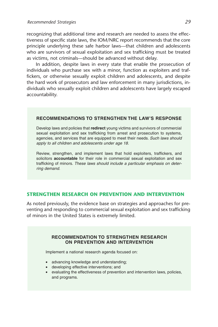recognizing that additional time and research are needed to assess the effectiveness of specific state laws, the IOM/NRC report recommends that the core principle underlying these safe harbor laws—that children and adolescents who are survivors of sexual exploitation and sex trafficking must be treated as victims, not criminals—should be advanced without delay.

In addition, despite laws in every state that enable the prosecution of individuals who purchase sex with a minor, function as exploiters and traffickers, or otherwise sexually exploit children and adolescents, and despite the hard work of prosecutors and law enforcement in many jurisdictions, individuals who sexually exploit children and adolescents have largely escaped accountability.

#### **Recommendations to Strengthen the Law's Response**

Develop laws and policies that **redirect** young victims and survivors of commercial sexual exploitation and sex trafficking from arrest and prosecution to systems, agencies, and services that are equipped to meet their needs. *Such laws should apply to all children and adolescents under age 18.*

Review, strengthen, and implement laws that hold exploiters, traffickers, and solicitors **accountable** for their role in commercial sexual exploitation and sex trafficking of minors. *These laws should include a particular emphasis on deterring demand.*

#### **Strengthen Research on Prevention and Intervention**

As noted previously, the evidence base on strategies and approaches for preventing and responding to commercial sexual exploitation and sex trafficking of minors in the United States is extremely limited.

#### **Recommendation to Strengthen Research on Prevention and Intervention**

Implement a national research agenda focused on:

- advancing knowledge and understanding;
- • developing effective interventions; and
- evaluating the effectiveness of prevention and intervention laws, policies, and programs.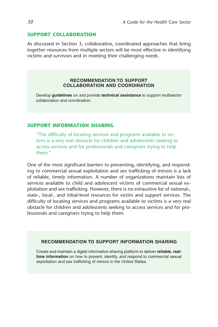#### **Support Collaboration**

As discussed in Section 3, collaborative, coordinated approaches that bring together resources from multiple sectors will be most effective in identifying victims and survivors and in meeting their challenging needs.

#### **Recommendation to Support Collaboration and Coordination**

Develop **guidelines** on and provide **technical assistance** to support multisector collaboration and coordination.

#### **Support Information Sharing**

"The difficulty of locating services and programs available to victims is a very real obstacle for children and adolescents seeking to access services and for professionals and caregivers trying to help them."

One of the most significant barriers to preventing, identifying, and responding to commercial sexual exploitation and sex trafficking of minors is a lack of reliable, timely information. A number of organizations maintain lists of services available to child and adolescent victims of commercial sexual exploitation and sex trafficking. However, there is no exhaustive list of national-, state-, local-, and tribal-level resources for victim and support services. The difficulty of locating services and programs available to victims is a very real obstacle for children and adolescents seeking to access services and for professionals and caregivers trying to help them.

#### **Recommendation to Support Information Sharing**

Create and maintain a digital information-sharing platform to deliver **reliable, realtime information** on how to prevent, identify, and respond to commercial sexual exploitation and sex trafficking of minors in the United States.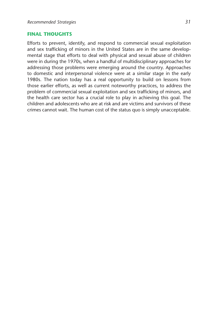#### **Final Thoughts**

Efforts to prevent, identify, and respond to commercial sexual exploitation and sex trafficking of minors in the United States are in the same developmental stage that efforts to deal with physical and sexual abuse of children were in during the 1970s, when a handful of multidisciplinary approaches for addressing those problems were emerging around the country. Approaches to domestic and interpersonal violence were at a similar stage in the early 1980s. The nation today has a real opportunity to build on lessons from those earlier efforts, as well as current noteworthy practices, to address the problem of commercial sexual exploitation and sex trafficking of minors, and the health care sector has a crucial role to play in achieving this goal. The children and adolescents who are at risk and are victims and survivors of these crimes cannot wait. The human cost of the status quo is simply unacceptable.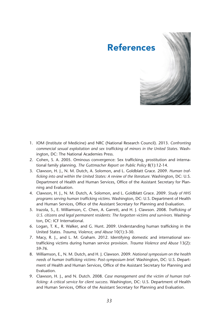

- 1. IOM (Institute of Medicine) and NRC (National Research Council). 2013. *Confronting commercial sexual exploitation and sex trafficking of minors in the United States*. Washington, DC: The National Academies Press.
- 2. Cohen, S. A. 2005. Ominous convergence: Sex trafficking, prostitution and international family planning. *The Guttmacher Report on Public Policy* 8(1):12-14.
- 3. Clawson, H. J., N. M. Dutch, A. Solomon, and L. Goldblatt Grace. 2009. *Human trafficking into and within the United States: A review of the literature.* Washington, DC: U.S. Department of Health and Human Services, Office of the Assistant Secretary for Planning and Evaluation.
- 4. Clawson, H. J., N. M. Dutch, A. Solomon, and L. Goldblatt Grace. 2009. *Study of HHS programs serving human trafficking victims.* Washington, DC: U.S. Department of Health and Human Services, Office of the Assistant Secretary for Planning and Evaluation.
- 5. Irazola, S., E. Williamson, C. Chen, A. Garrett, and H. J. Clawson. 2008. *Trafficking of U.S. citizens and legal permanent residents: The forgotten victims and survivors.* Washington, DC: ICF International.
- 6. Logan, T. K., R. Walker, and G. Hunt. 2009. Understanding human trafficking in the United States. *Trauma, Violence, and Abuse* 10(1):3-30.
- 7. Macy, R. J., and L. M. Graham. 2012. Identifying domestic and international sextrafficking victims during human service provision. *Trauma Violence and Abuse* 13(2): 59-76.
- 8. Williamson, E., N. M. Dutch, and H. J. Clawson. 2009. *National symposium on the health needs of human trafficking victims: Post-symposium brief.* Washington, DC: U.S. Department of Health and Human Services, Office of the Assistant Secretary for Planning and Evaluation.
- 9. Clawson, H. J., and N. Dutch. 2008. *Case management and the victim of human trafficking: A critical service for client success.* Washington, DC: U.S. Department of Health and Human Services, Office of the Assistant Secretary for Planning and Evaluation.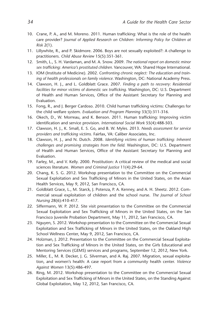- 10. Crane, P. A., and M. Moreno. 2011. Human trafficking: What is the role of the health care provider? *Journal of Applied Research on Children: Informing Policy for Children at Risk* 2(1).
- 11. Lillywhite, R., and P. Skidmore. 2006. Boys are not sexually exploited?: A challenge to practitioners. *Child Abuse Review* 15(5):351-361.
- 12. Smith, L., S. H. Vardaman, and M. A. Snow. 2009. *The national report on domestic minor sex trafficking: America's prostituted children.* Vancouver, WA: Shared Hope International.
- 13. IOM (Institute of Medicine). 2002. *Confronting chronic neglect: The education and training of health professionals on family violence*. Washington, DC: National Academy Press.
- 14. Clawson, H. J., and L. Goldblatt Grace. 2007. *Finding a path to recovery: Residential facilities for minor victims of domestic sex trafficking.* Washington, DC: U.S. Department of Health and Human Services, Office of the Assistant Secretary for Planning and Evaluation.
- 15. Fong, R., and J. Berger Cardoso. 2010. Child human trafficking victims: Challenges for the child welfare system. *Evaluation and Program Planning* 33(3):311-316.
- 16. Okech, D., W. Morreau, and K. Benson. 2011. Human trafficking: Improving victim identification and service provision. *International Social Work* 55(4):488-503.
- 17. Clawson, H. J., K. Small, E. S. Go, and B. W. Myles. 2013. *Needs assessment for service providers and trafficking victims.* Fairfax, VA: Caliber Associates, Inc.
- 18. Clawson, H. J., and N. Dutch. 2008. *Identifying victims of human trafficking: Inherent challenges and promising strategies from the field.* Washington, DC: U.S. Department of Health and Human Services, Office of the Assistant Secretary for Planning and Evaluation.
- 19. Farley, M., and V. Kelly. 2000. Prostitution: A critical review of the medical and social sciences literature. *Women and Criminal Justice* 11(4):29-64.
- 20. Chang, K. S. G. 2012. Workshop presentation to the Committee on the Commercial Sexual Exploitation and Sex Trafficking of Minors in the United States, on the Asian Health Services, May 9, 2012, San Francisco, CA.
- 21. Goldblatt Grace, L., M. Starck, J. Potenza, P. A. Kenney, and A. H. Sheetz. 2012. Commercial sexual exploitation of children and the school nurse. *The Journal of School Nursing* 28(6):410-417.
- 22. Siffermann, W. P. 2012. Site visit presentation to the Committee on the Commercial Sexual Exploitation and Sex Trafficking of Minors in the United States, on the San Francisco Juvenile Probation Department, May 11, 2012, San Francisco, CA.
- 23. Nguyen, S. 2012. Workshop presentation to the Committee on the Commercial Sexual Exploitation and Sex Trafficking of Minors in the United States, on the Oakland High School Wellness Center, May 9, 2012, San Francisco, CA.
- 24. Holzman, J. 2012. Presentation to the Committee on the Commercial Sexual Exploitation and Sex Trafficking of Minors in the United States, on the Girls Educational and Mentoring Services (GEMS) services and programs, September 12, 2012, New York.
- 25. Miller, E., M. R. Decker, J. G. Silverman, and A. Raj. 2007. Migration, sexual exploitation, and women's health: A case report from a community health center. *Violence Against Women* 13(5):486-497.
- 26. Ring, M. 2012. Workshop presentation to the Committee on the Commercial Sexual Exploitation and Sex Trafficking of Minors in the United States, on the Standing Against Global Exploitation, May 12, 2012, San Francisco, CA.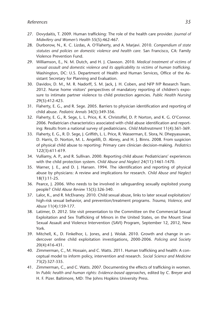- 27. Dovydaitis, T. 2009. Human trafficking: The role of the health care provider. *Journal of Midwifery and Women's Health* 55(5):462-467.
- 28. Durborow, N., K. C. Lizdas, A. O'Flaherty, and A. Marjavi. 2010. *Compendium of state statutes and policies on domestic violence and health care.* San Francisco, CA: Family Violence Prevention Fund.
- 29. Williamson, E., N. M. Dutch, and H. J. Clawson. 2010. *Medical treatment of victims of sexual assault and domestic violence and its applicability to victims of human trafficking.* Washington, DC: U.S. Department of Health and Human Services, Office of the Assistant Secretary for Planning and Evaluation.
- 30. Davidov, D. M., M. R. Nadorff, S. M. Jack, J. H. Coben, and NFP IVP Research Team. 2012. Nurse home visitors' perspectives of mandatory reporting of children's exposure to intimate partner violence to child protection agencies. *Public Health Nursing* 29(5):412-423.
- 31. Flaherty, E. G., and R. Sege. 2005. Barriers to physician identification and reporting of child abuse. *Pediatric Annals* 34(5):349-356.
- 32. Flaherty, E. G., R. Sege, L. L. Price, K. K. Christoffel, D. P. Norton, and K. G. O'Connor. 2006. Pediatrician characteristics associated with child abuse identification and reporting: Results from a national survey of pediatricians. *Child Maltreatment* 11(4):361-369.
- 33. Flaherty, E. G., R. D. Sege, J. Griffith, L. L. Price, R. Wasserman, E. Slora, N. Dhepyasuwan, D. Harris, D. Norton, M. L. Angelilli, D. Abney, and H. J. Binns. 2008. From suspicion of physical child abuse to reporting: Primary care clinician decision-making. *Pediatrics* 122(3):611-619.
- 34. Vulliamy, A. P., and R. Sullivan. 2000. Reporting child abuse: Pediatricians' experiences with the child protection system. *Child Abuse and Neglect* 24(11):1461-1470.
- 35. Warner, J. E., and D. J. Hansen. 1994. The identification and reporting of physical abuse by physicians: A review and implications for research. *Child Abuse and Neglect* 18(1):11-25.
- 36. Pearce, J. 2006. Who needs to be involved in safeguarding sexually exploited young people? *Child Abuse Review* 15(5):326-340.
- 37. Lalor, K., and R. McElvaney. 2010. Child sexual abuse, links to later sexual exploitation/ high-risk sexual behavior, and prevention/treatment programs. *Trauma, Violence, and Abuse* 11(4):159-177.
- 38. Latimer, D. 2012. Site visit presentation to the Committee on the Commercial Sexual Exploitation and Sex Trafficking of Minors in the United States, on the Mount Sinai Sexual Assault and Violence Intervention (SAVI) Program, September 12, 2012, New York.
- 39. Mitchell, K., D. Finkelhor, L. Jones, and J. Wolak. 2010. Growth and change in undercover online child exploitation investigations, 2000-2006. *Policing and Society* 20(4):416-431.
- 40. Zimmerman, C., M. Hossain, and C. Watts. 2011. Human trafficking and health: A conceptual model to inform policy, intervention and research. *Social Science and Medicine* 73(2):327-335.
- 41. Zimmerman, C., and C. Watts. 2007. Documenting the effects of trafficking in women. In *Public health and human rights: Evidence-based approaches*, edited by C. Breyer and H. F. Pizer. Baltimore, MD: The Johns Hopkins University Press.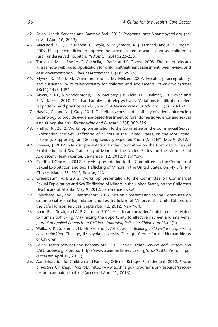- 42. Asian Health Services and Banteay Srei. 2012. *Programs*. <http://banteaysrei.org> (accessed April 16, 2013).
- 43. MacLeod, K. J., J. P. Marcin, C. Boyle, S. Miyamoto, R. J. Dimand, and K. K. Rogers. 2009. Using telemedicine to improve the care delivered to sexually abused children in rural, underserved hospitals. *Pediatrics* 123(1):223-228.
- 44. Thraen, I. M., L. Frasier, C. Cochella, J. Yaffe, and P. Goede. 2008. The use of telecam as a remote web-based application for child maltreatment assessment, peer review, and case documentation. *Child Maltreatment* 13(4):368-376.
- 45. Myers, K. M., J. M. Valentine, and S. M. Melzer. 2007. Feasibility, acceptability, and sustainability of telepsychiatry for children and adolescents. *Psychiatric Services* 58(11):1493-1496.
- 46. Myers, K. M., A. Vander Stoep, C. A. McCarty, J. B. Klein, N. B. Palmer, J. R. Geyer, and S. M. Melzer. 2010. Child and adolescent telepsychiatry: Variations in utilization, referral patterns and practice trends. *Journal of Telemedicine and Telecare* 16(3):128-133.
- 47. Hassija, C., and M. J. Gray. 2011. The effectiveness and feasibility of videoconferencing technology to provide evidence-based treatment to rural domestic violence and sexual assault populations. *Telemedicine and E-Health* 17(4):309-315.
- 48. Phillips, M. 2012. Workshop presentation to the Committee on the Commercial Sexual Exploitation and Sex Trafficking of Minors in the United States, on the Motivating, Inspiring, Supporting, and Serving Sexually Exploited Youth (MISSEY), May 9, 2012.
- 49. Steever, J. 2012. Site visit presentation to the Committee on the Commercial Sexual Exploitation and Sex Trafficking of Minors in the United States, on the Mount Sinai Adolescent Health Center, September 12, 2012, New York.
- 50. Goldblatt Grace, L. 2012. Site visit presentation to the Committee on the Commercial Sexual Exploitation and Sex Trafficking of Minors in the United States, on My Life, My Choice, March 23, 2012, Boston, MA.
- 51. Greenbaum, V. J. 2012. Workshop presentation to the Committee on Commercial Sexual Exploitation and Sex Trafficking of Minors in the United States, on the Children's Healthcare of Atlanta, May 9, 2012, San Francisco, CA.
- 52. Polenberg, M., and J. Westmacott. 2012. Site visit presentation to the Committee on Commercial Sexual Exploitation and Sex Trafficking of Minors in the United States, on the Safe Horizon services, September 12, 2012, New York.
- 53. Isaac, R., J. Solak, and A. P. Giardino. 2011. Health care providers' training needs related to human trafficking: Maximizing the opportunity to effectively screen and intervene. *Journal of Applied Research on Children: Informing Policy for Children at Risk* 2(1).
- 54. Walts, K. K., S. French, H. Moore, and S. Ashai. 2011. *Building child welfare response to child trafficking.* Chicago, IL: Loyola University Chicago, Center for the Human Rights of Children.
- 55. Asian Health Services and Banteay Srei. 2012. *Asian Health Services and Banteay Srei CSEC Screening Protocol*. [http://www.asianhealthservices.org/docs/CSEC\\_Protocol.pdf](http://www.asianhealthservices.org/docs/CSEC_Protocol.pdf) (accessed April 11, 2013).
- 56. Administration for Children and Families, Office of Refugee Resettlement. 2012. *Rescue & Restore Campaign Tool Kits*. [http://www.acf.hhs.gov/programs/orr/resource/rescue](http://www.acf.hhs.gov/programs/orr/resource/rescue-restore-campaign-tool-kits)[restore-campaign-tool-kits](http://www.acf.hhs.gov/programs/orr/resource/rescue-restore-campaign-tool-kits) (accessed April 11, 2013).